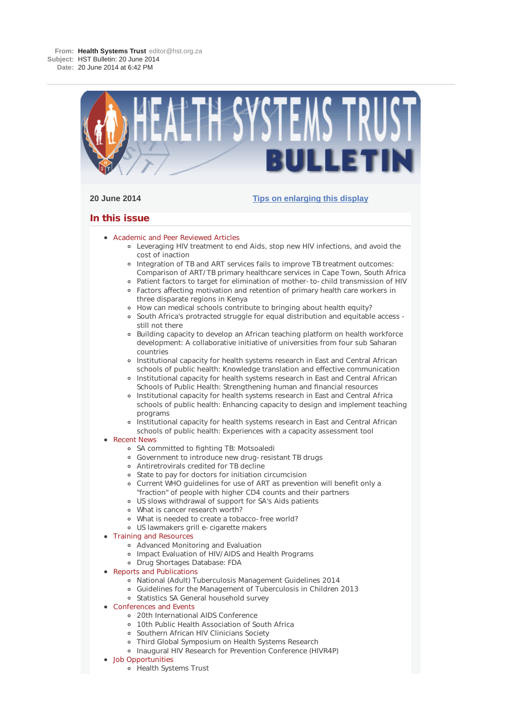

## **20 June 2014 Tips on enlarging this display**

# **In this issue**

- Academic and Peer Reviewed Articles
	- Leveraging HIV treatment to end Aids, stop new HIV infections, and avoid the cost of inaction
	- o Integration of TB and ART services fails to improve TB treatment outcomes: Comparison of ART/TB primary healthcare services in Cape Town, South Africa
	- Patient factors to target for elimination of mother-to-child transmission of HIV Factors affecting motivation and retention of primary health care workers in three disparate regions in Kenya
	- How can medical schools contribute to bringing about health equity?
	- o South Africa's protracted struggle for equal distribution and equitable access still not there
	- Building capacity to develop an African teaching platform on health workforce development: A collaborative initiative of universities from four sub Saharan countries
	- o Institutional capacity for health systems research in East and Central African schools of public health: Knowledge translation and effective communication
	- o Institutional capacity for health systems research in East and Central African Schools of Public Health: Strengthening human and financial resources
	- o Institutional capacity for health systems research in East and Central Africa schools of public health: Enhancing capacity to design and implement teaching programs
	- Institutional capacity for health systems research in East and Central African schools of public health: Experiences with a capacity assessment tool

## **• Recent News**

- SA committed to fighting TB: Motsoaledi
- Government to introduce new drug-resistant TB drugs
- Antiretrovirals credited for TB decline
- State to pay for doctors for initiation circumcision
- Current WHO guidelines for use of ART as prevention will benefit only a "fraction" of people with higher CD4 counts and their partners
- US slows withdrawal of support for SA's Aids patients
- What is cancer research worth?
- What is needed to create a tobacco-free world?
- US lawmakers grill e-cigarette makers
- Training and Resources
	- Advanced Monitoring and Evaluation
	- Impact Evaluation of HIV/AIDS and Health Programs
	- Drug Shortages Database: FDA
- Reports and Publications
	- National (Adult) Tuberculosis Management Guidelines 2014
	- Guidelines for the Management of Tuberculosis in Children 2013
	- Statistics SA General household survey
- **Conferences and Events** 
	- 20th International AIDS Conference
	- 10th Public Health Association of South Africa
	- Southern African HIV Clinicians Society  $\circ$
	- Third Global Symposium on Health Systems Research
	- Inaugural HIV Research for Prevention Conference (HIVR4P)
- Job Opportunities
	- Health Systems Trust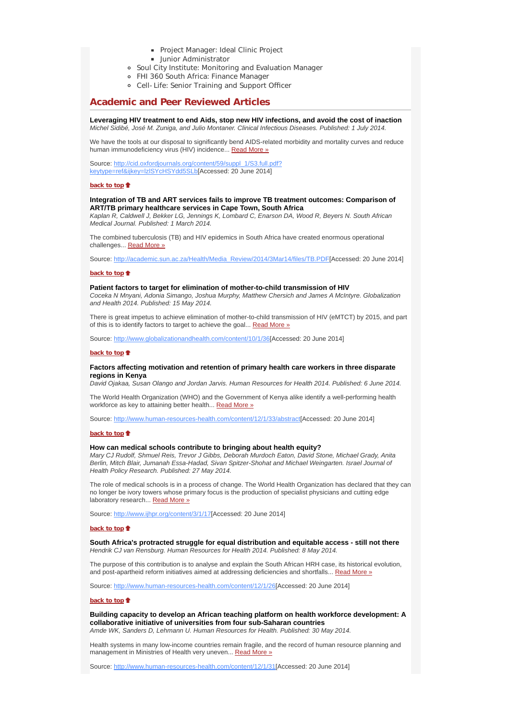- **Project Manager: Ideal Clinic Project**
- **Junior Administrator**
- Soul City Institute: Monitoring and Evaluation Manager
- FHI 360 South Africa: Finance Manager
- Cell-Life: Senior Training and Support Officer

# **Academic and Peer Reviewed Articles**

**Leveraging HIV treatment to end Aids, stop new HIV infections, and avoid the cost of inaction** *Michel Sidibé, José M. Zuniga, and Julio Montaner. Clinical Infectious Diseases. Published: 1 July 2014.*

We have the tools at our disposal to significantly bend AIDS-related morbidity and mortality curves and reduce human immunodeficiency virus (HIV) incidence... Read More »

Source: http://cid.oxfordjournals.org/content/59/suppl\_1/S3.full.pdf? keytype=ref&ijkey=lzlSYcHSYdd5SLb[Accessed: 20 June 2014]

#### **back to top**

#### **Integration of TB and ART services fails to improve TB treatment outcomes: Comparison of ART/TB primary healthcare services in Cape Town, South Africa**

*Kaplan R, Caldwell J, Bekker LG, Jennings K, Lombard C, Enarson DA, Wood R, Beyers N. South African Medical Journal. Published: 1 March 2014.*

The combined tuberculosis (TB) and HIV epidemics in South Africa have created enormous operational challenges... Read More »

Source: http://academic.sun.ac.za/Health/Media\_Review/2014/3Mar14/files/TB.PDF[Accessed: 20 June 2014]

#### **back to top**

#### **Patient factors to target for elimination of mother-to-child transmission of HIV**

*Coceka N Mnyani, Adonia Simango, Joshua Murphy, Matthew Chersich and James A McIntyre. Globalization and Health 2014. Published: 15 May 2014.*

There is great impetus to achieve elimination of mother-to-child transmission of HIV (eMTCT) by 2015, and part of this is to identify factors to target to achieve the goal... Read More »

Source: http://www.globalizationandhealth.com/content/10/1/36[Accessed: 20 June 2014]

#### **back to top**

#### **Factors affecting motivation and retention of primary health care workers in three disparate regions in Kenya**

*David Ojakaa, Susan Olango and Jordan Jarvis. Human Resources for Health 2014. Published: 6 June 2014.*

The World Health Organization (WHO) and the Government of Kenya alike identify a well-performing health workforce as key to attaining better health... Read More »

Source: http://www.human-resources-health.com/content/12/1/33/abstract[Accessed: 20 June 2014]

#### **back to top**

#### **How can medical schools contribute to bringing about health equity?**

*Mary CJ Rudolf, Shmuel Reis, Trevor J Gibbs, Deborah Murdoch Eaton, David Stone, Michael Grady, Anita Berlin, Mitch Blair, Jumanah Essa-Hadad, Sivan Spitzer-Shohat and Michael Weingarten. Israel Journal of Health Policy Research. Published: 27 May 2014.*

The role of medical schools is in a process of change. The World Health Organization has declared that they can no longer be ivory towers whose primary focus is the production of specialist physicians and cutting edge laboratory research... Read More »

Source: http://www.ijhpr.org/content/3/1/17[Accessed: 20 June 2014]

#### **back to top**

**South Africa's protracted struggle for equal distribution and equitable access - still not there** *Hendrik CJ van Rensburg. Human Resources for Health 2014. Published: 8 May 2014.*

The purpose of this contribution is to analyse and explain the South African HRH case, its historical evolution, and post-apartheid reform initiatives aimed at addressing deficiencies and shortfalls... Read More »

Source: http://www.human-resources-health.com/content/12/1/26[Accessed: 20 June 2014]

#### **back to top**

**Building capacity to develop an African teaching platform on health workforce development: A collaborative initiative of universities from four sub-Saharan countries** *Amde WK, Sanders D, Lehmann U. Human Resources for Health. Published: 30 May 2014.*

Health systems in many low-income countries remain fragile, and the record of human resource planning and management in Ministries of Health very uneven... Read More »

Source: http://www.human-resources-health.com/content/12/1/31[Accessed: 20 June 2014]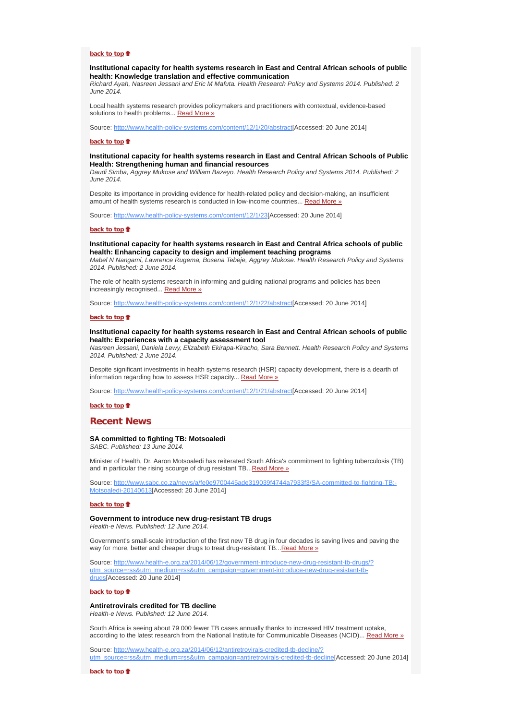#### **back to top**

#### **Institutional capacity for health systems research in East and Central African schools of public health: Knowledge translation and effective communication**

*Richard Ayah, Nasreen Jessani and Eric M Mafuta. Health Research Policy and Systems 2014. Published: 2 June 2014.*

Local health systems research provides policymakers and practitioners with contextual, evidence-based solutions to health problems... Read More »

Source: http://www.health-policy-systems.com/content/12/1/20/abstract[Accessed: 20 June 2014]

#### **back to top**

## **Institutional capacity for health systems research in East and Central African Schools of Public Health: Strengthening human and financial resources**

*Daudi Simba, Aggrey Mukose and William Bazeyo. Health Research Policy and Systems 2014. Published: 2 June 2014.*

Despite its importance in providing evidence for health-related policy and decision-making, an insufficient amount of health systems research is conducted in low-income countries... Read More »

Source: http://www.health-policy-systems.com/content/12/1/23[Accessed: 20 June 2014]

#### **back to top**

#### **Institutional capacity for health systems research in East and Central Africa schools of public health: Enhancing capacity to design and implement teaching programs**

*Mabel N Nangami, Lawrence Rugema, Bosena Tebeje, Aggrey Mukose. Health Research Policy and Systems 2014. Published: 2 June 2014.*

The role of health systems research in informing and guiding national programs and policies has been increasingly recognised... Read More »

Source: http://www.health-policy-systems.com/content/12/1/22/abstract[Accessed: 20 June 2014]

#### **back to top**

## **Institutional capacity for health systems research in East and Central African schools of public health: Experiences with a capacity assessment tool**

*Nasreen Jessani, Daniela Lewy, Elizabeth Ekirapa-Kiracho, Sara Bennett. Health Research Policy and Systems 2014. Published: 2 June 2014.*

Despite significant investments in health systems research (HSR) capacity development, there is a dearth of information regarding how to assess HSR capacity... Read More »

Source: http://www.health-policy-systems.com/content/12/1/21/abstract[Accessed: 20 June 2014]

#### **back to top**

## **Recent News**

# **SA committed to fighting TB: Motsoaledi**

*SABC. Published: 13 June 2014.*

Minister of Health, Dr. Aaron Motsoaledi has reiterated South Africa's commitment to fighting tuberculosis (TB) and in particular the rising scourge of drug resistant TB...Read More »

Source: http://www.sabc.co.za/news/a/fe0e9700445ade319039f4744a7933f3/SA-committed-to-fighting-TB:-Motsoaledi-20140613[Accessed: 20 June 2014]

#### **back to top**

## **Government to introduce new drug-resistant TB drugs**

*Health-e News. Published: 12 June 2014.*

Government's small-scale introduction of the first new TB drug in four decades is saving lives and paving the way for more, better and cheaper drugs to treat drug-resistant TB... Read More »

Source: http://www.health-e.org.za/2014/06/12/government-introduce-new-drug-resistant-tb-drugs/? utm\_source=rss&utm\_medium=rss&utm\_campaign=government-introduce-new-drug-resistant-tbdrugs[Accessed: 20 June 2014]

**back to top**<sup>t</sup>

## **Antiretrovirals credited for TB decline**

*Health-e News. Published: 12 June 2014.*

South Africa is seeing about 79 000 fewer TB cases annually thanks to increased HIV treatment uptake, according to the latest research from the National Institute for Communicable Diseases (NCID)... Read More »

Source: http://www.health-e.org.za/2014/06/12/antiretrovirals-credited-tb-decline/? utm\_source=rss&utm\_medium=rss&utm\_campaign=antiretrovirals-credited-tb-decline[Accessed: 20 June 2014]

**back to top**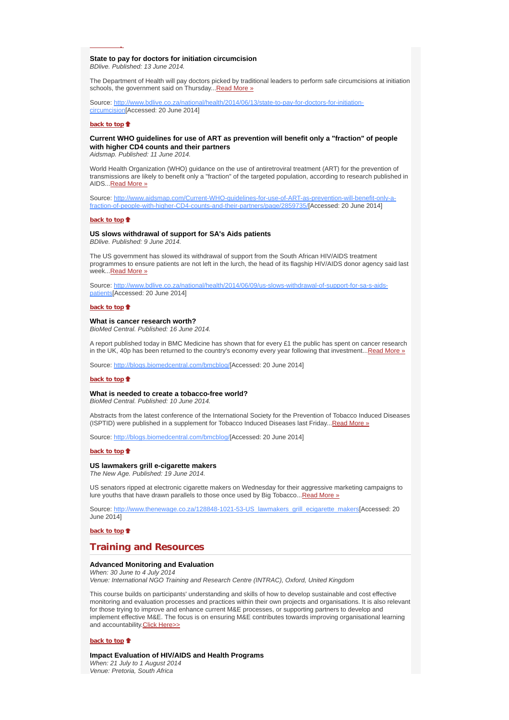#### **State to pay for doctors for initiation circumcision** *BDlive. Published: 13 June 2014.*

The Department of Health will pay doctors picked by traditional leaders to perform safe circumcisions at initiation schools, the government said on Thursday...Read More »

Source: http://www.bdlive.co.za/national/health/2014/06/13/state-to-pay-for-doctors-for-initiationcircumcision[Accessed: 20 June 2014]

#### **back to top**

**p**

## **Current WHO guidelines for use of ART as prevention will benefit only a "fraction" of people with higher CD4 counts and their partners**

*Aidsmap. Published: 11 June 2014.*

World Health Organization (WHO) guidance on the use of antiretroviral treatment (ART) for the prevention of transmissions are likely to benefit only a "fraction" of the targeted population, according to research published in AIDS...Read More »

Source: http://www.aidsmap.com/Current-WHO-guidelines-for-use-of-ART-as-prevention-will-benefit-only-afraction-of-people-with-higher-CD4-counts-and-their-partners/page/2859735/[Accessed: 20 June 2014]

#### **back to top**

## **US slows withdrawal of support for SA's Aids patients**

*BDlive. Published: 9 June 2014.*

The US government has slowed its withdrawal of support from the South African HIV/AIDS treatment programmes to ensure patients are not left in the lurch, the head of its flagship HIV/AIDS donor agency said last week...Read More »

Source: http://www.bdlive.co.za/national/health/2014/06/09/us-slows-withdrawal-of-support-for-sa-s-aidspatients[Accessed: 20 June 2014]

#### **back to top**

#### **What is cancer research worth?**

*BioMed Central. Published: 16 June 2014.*

A report published today in BMC Medicine has shown that for every £1 the public has spent on cancer research in the UK, 40p has been returned to the country's economy every year following that investment...Read More »

Source: http://blogs.biomedcentral.com/bmcblog/[Accessed: 20 June 2014]

#### **back to top**<sup>t</sup>

#### **What is needed to create a tobacco-free world?**

*BioMed Central. Published: 10 June 2014.*

Abstracts from the latest conference of the International Society for the Prevention of Tobacco Induced Diseases (ISPTID) were published in a supplement for Tobacco Induced Diseases last Friday...Read More »

Source: http://blogs.biomedcentral.com/bmcblog/[Accessed: 20 June 2014]

#### **back to top**

## **US lawmakers grill e-cigarette makers**

*The New Age. Published: 19 June 2014.*

US senators ripped at electronic cigarette makers on Wednesday for their aggressive marketing campaigns to lure youths that have drawn parallels to those once used by Big Tobacco... Read More »

Source: http://www.thenewage.co.za/128848-1021-53-US\_lawmakers\_grill\_ecigarette\_makers[Accessed: 20 June 2014]

**back to top**

## **Training and Resources**

#### **Advanced Monitoring and Evaluation**

*When: 30 June to 4 July 2014 Venue: International NGO Training and Research Centre (INTRAC), Oxford, United Kingdom*

This course builds on participants' understanding and skills of how to develop sustainable and cost effective monitoring and evaluation processes and practices within their own projects and organisations. It is also relevant for those trying to improve and enhance current M&E processes, or supporting partners to develop and implement effective M&E. The focus is on ensuring M&E contributes towards improving organisational learning and accountability.Click Here>>

#### **back to top**

**Impact Evaluation of HIV/AIDS and Health Programs** *When: 21 July to 1 August 2014 Venue: Pretoria, South Africa*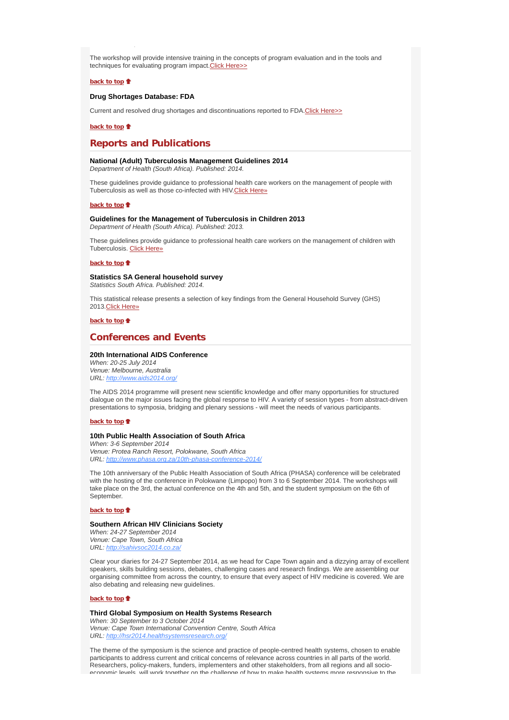The workshop will provide intensive training in the concepts of program evaluation and in the tools and techniques for evaluating program impact. Click Here>>

## **back to top**

## **Drug Shortages Database: FDA**

Current and resolved drug shortages and discontinuations reported to FDA.Click Here>>

#### **back to top**

# **Reports and Publications**

#### **National (Adult) Tuberculosis Management Guidelines 2014**

*Department of Health (South Africa). Published: 2014.*

These guidelines provide guidance to professional health care workers on the management of people with Tuberculosis as well as those co-infected with HIV.Click Here»

#### **back to top**

## **Guidelines for the Management of Tuberculosis in Children 2013**

*Department of Health (South Africa). Published: 2013.*

These guidelines provide guidance to professional health care workers on the management of children with Tuberculosis. Click Here»

#### **back to top**

#### **Statistics SA General household survey**

*Statistics South Africa. Published: 2014.*

This statistical release presents a selection of key findings from the General Household Survey (GHS) 2013.Click Here»

#### **back to top**

# **Conferences and Events**

## **20th International AIDS Conference**

*When: 20-25 July 2014 Venue: Melbourne, Australia URL: http://www.aids2014.org/*

The AIDS 2014 programme will present new scientific knowledge and offer many opportunities for structured dialogue on the major issues facing the global response to HIV. A variety of session types - from abstract-driven presentations to symposia, bridging and plenary sessions - will meet the needs of various participants.

#### **back to top**

#### **10th Public Health Association of South Africa**

*When: 3-6 September 2014 Venue: Protea Ranch Resort, Polokwane, South Africa URL: http://www.phasa.org.za/10th-phasa-conference-2014/*

The 10th anniversary of the Public Health Association of South Africa (PHASA) conference will be celebrated with the hosting of the conference in Polokwane (Limpopo) from 3 to 6 September 2014. The workshops will take place on the 3rd, the actual conference on the 4th and 5th, and the student symposium on the 6th of September.

#### **back to top**

#### **Southern African HIV Clinicians Society**

*When: 24-27 September 2014 Venue: Cape Town, South Africa URL: http://sahivsoc2014.co.za/*

Clear your diaries for 24-27 September 2014, as we head for Cape Town again and a dizzying array of excellent speakers, skills building sessions, debates, challenging cases and research findings. We are assembling our organising committee from across the country, to ensure that every aspect of HIV medicine is covered. We are also debating and releasing new guidelines.

#### **back to top**

#### **Third Global Symposium on Health Systems Research**

*When: 30 September to 3 October 2014 Venue: Cape Town International Convention Centre, South Africa URL: http://hsr2014.healthsystemsresearch.org/*

The theme of the symposium is the science and practice of people-centred health systems, chosen to enable participants to address current and critical concerns of relevance across countries in all parts of the world. Researchers, policy-makers, funders, implementers and other stakeholders, from all regions and all socioeconomic levels will work together on the challenge of how to make health systems more responsive to the